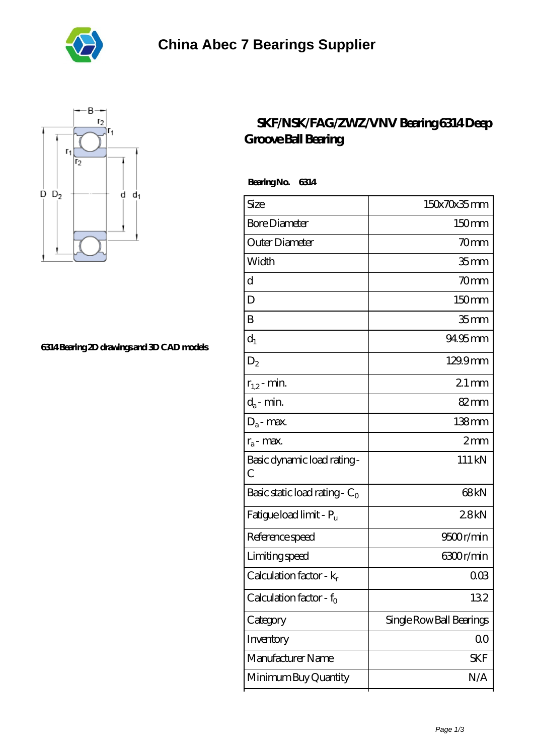



## **[6314 Bearing 2D drawings and 3D CAD models](https://m.oshkoshwest.net/pic-530298.html)**

## **[SKF/NSK/FAG/ZWZ/VNV Bearing 6314 Deep](https://m.oshkoshwest.net/fag-6314-bearing/530298.html) [Groove Ball Bearing](https://m.oshkoshwest.net/fag-6314-bearing/530298.html)**

 **Bearing No. 6314**

| Size                             | 150x70x35mm              |
|----------------------------------|--------------------------|
| <b>Bore Diameter</b>             | 150mm                    |
| Outer Diameter                   | 70mm                     |
| Width                            | 35 <sub>mm</sub>         |
| d                                | 70mm                     |
| D                                | 150mm                    |
| B                                | 35 <sub>mm</sub>         |
| $d_1$                            | 94.95mm                  |
| $\mathrm{D}_2$                   | 129.9mm                  |
| $r_{1,2}$ - min.                 | $21$ mm                  |
| $d_a$ - min.                     | $82 \text{mm}$           |
| $D_a$ - max.                     | $138$ mm                 |
| $r_a$ - max.                     | 2mm                      |
| Basic dynamic load rating-<br>С  | 111 kN                   |
| Basic static load rating - $C_0$ | 68 <sub>kN</sub>         |
| Fatigue load limit - Pu          | 28kN                     |
| Reference speed                  | 9500r/min                |
| Limiting speed                   | 6300r/min                |
| Calculation factor - $k_r$       | 00 <sup>3</sup>          |
| Calculation factor - $f_0$       | 132                      |
| Category                         | Single Row Ball Bearings |
| Inventory                        | $00\,$                   |
| Manufacturer Name                | <b>SKF</b>               |
| Minimum Buy Quantity             | N/A                      |
|                                  |                          |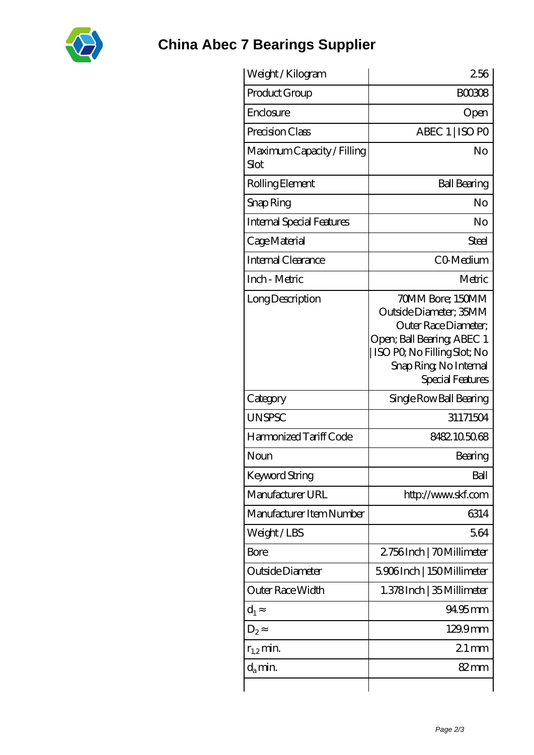

## **[China Abec 7 Bearings Supplier](https://m.oshkoshwest.net)**

| Weight/Kilogram                    | 256                                                                                                                                                                                  |
|------------------------------------|--------------------------------------------------------------------------------------------------------------------------------------------------------------------------------------|
| Product Group                      | <b>BOO308</b>                                                                                                                                                                        |
| Enclosure                          | Open                                                                                                                                                                                 |
| Precision Class                    | ABEC 1   ISO PO                                                                                                                                                                      |
| Maximum Capacity / Filling<br>Slot | No                                                                                                                                                                                   |
| Rolling Element                    | <b>Ball Bearing</b>                                                                                                                                                                  |
| Snap Ring                          | No                                                                                                                                                                                   |
| <b>Internal Special Features</b>   | No                                                                                                                                                                                   |
| Cage Material                      | Steel                                                                                                                                                                                |
| Internal Clearance                 | CO-Medium                                                                                                                                                                            |
| Inch - Metric                      | Metric                                                                                                                                                                               |
| Long Description                   | 70MM Bore; 150MM<br>Outside Diameter; 35MM<br>Outer Race Diameter;<br>Open; Ball Bearing; ABEC 1<br>ISO PO, No Filling Slot; No<br>Snap Ring, No Internal<br><b>Special Features</b> |
| Category                           | Single Row Ball Bearing                                                                                                                                                              |
| <b>UNSPSC</b>                      | 31171504                                                                                                                                                                             |
| Harmonized Tariff Code             | 8482105068                                                                                                                                                                           |
| Noun                               | Bearing                                                                                                                                                                              |
| <b>Keyword String</b>              | Ball                                                                                                                                                                                 |
| Manufacturer URL                   | http://www.skf.com                                                                                                                                                                   |
| Manufacturer Item Number           | 6314                                                                                                                                                                                 |
| Weight/LBS                         | 5.64                                                                                                                                                                                 |
| Bore                               | 2756Inch   70Millimeter                                                                                                                                                              |
| Outside Diameter                   | 5906Inch   150Millimeter                                                                                                                                                             |
| Outer Race Width                   | 1.378Inch   35 Millimeter                                                                                                                                                            |
| $d_1$                              | 94.95mm                                                                                                                                                                              |
| $D_2$                              | 129.9mm                                                                                                                                                                              |
| $r_{1,2}$ min.                     | $21 \,\mathrm{mm}$                                                                                                                                                                   |
| $d_{a}$ min.                       | 82 mm                                                                                                                                                                                |
|                                    |                                                                                                                                                                                      |